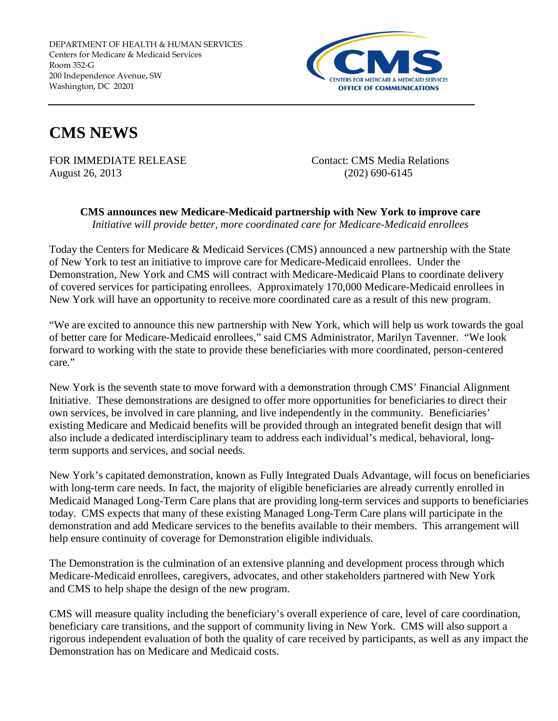DEPARTMENT OF HEALTH & HUMAN SERVICES Centers for Medicare & Medicaid Services Room 352-G 200 Independence Avenue, SW Washington, DC 20201



## **CMS NEWS**

FOR IMMEDIATE RELEASE Contact: CMS Media Relations August 26, 2013 (202) 690-6145

**CMS announces new Medicare-Medicaid partnership with New York to improve care** *Initiative will provide better, more coordinated care for Medicare-Medicaid enrollees*

Today the Centers for Medicare & Medicaid Services (CMS) announced a new partnership with the State of New York to test an initiative to improve care for Medicare-Medicaid enrollees. Under the Demonstration, New York and CMS will contract with Medicare-Medicaid Plans to coordinate delivery of covered services for participating enrollees. Approximately 170,000 Medicare-Medicaid enrollees in New York will have an opportunity to receive more coordinated care as a result of this new program.

"We are excited to announce this new partnership with New York, which will help us work towards the goal of better care for Medicare-Medicaid enrollees," said CMS Administrator, Marilyn Tavenner. "We look forward to working with the state to provide these beneficiaries with more coordinated, person-centered care."

New York is the seventh state to move forward with a demonstration through CMS' Financial Alignment Initiative. These demonstrations are designed to offer more opportunities for beneficiaries to direct their own services, be involved in care planning, and live independently in the community. Beneficiaries' existing Medicare and Medicaid benefits will be provided through an integrated benefit design that will also include a dedicated interdisciplinary team to address each individual's medical, behavioral, longterm supports and services, and social needs.

New York's capitated demonstration, known as Fully Integrated Duals Advantage, will focus on beneficiaries with long-term care needs. In fact, the majority of eligible beneficiaries are already currently enrolled in Medicaid Managed Long-Term Care plans that are providing long-term services and supports to beneficiaries today. CMS expects that many of these existing Managed Long-Term Care plans will participate in the demonstration and add Medicare services to the benefits available to their members. This arrangement will help ensure continuity of coverage for Demonstration eligible individuals.

The Demonstration is the culmination of an extensive planning and development process through which Medicare-Medicaid enrollees, caregivers, advocates, and other stakeholders partnered with New York and CMS to help shape the design of the new program.

CMS will measure quality including the beneficiary's overall experience of care, level of care coordination, beneficiary care transitions, and the support of community living in New York. CMS will also support a rigorous independent evaluation of both the quality of care received by participants, as well as any impact the Demonstration has on Medicare and Medicaid costs.